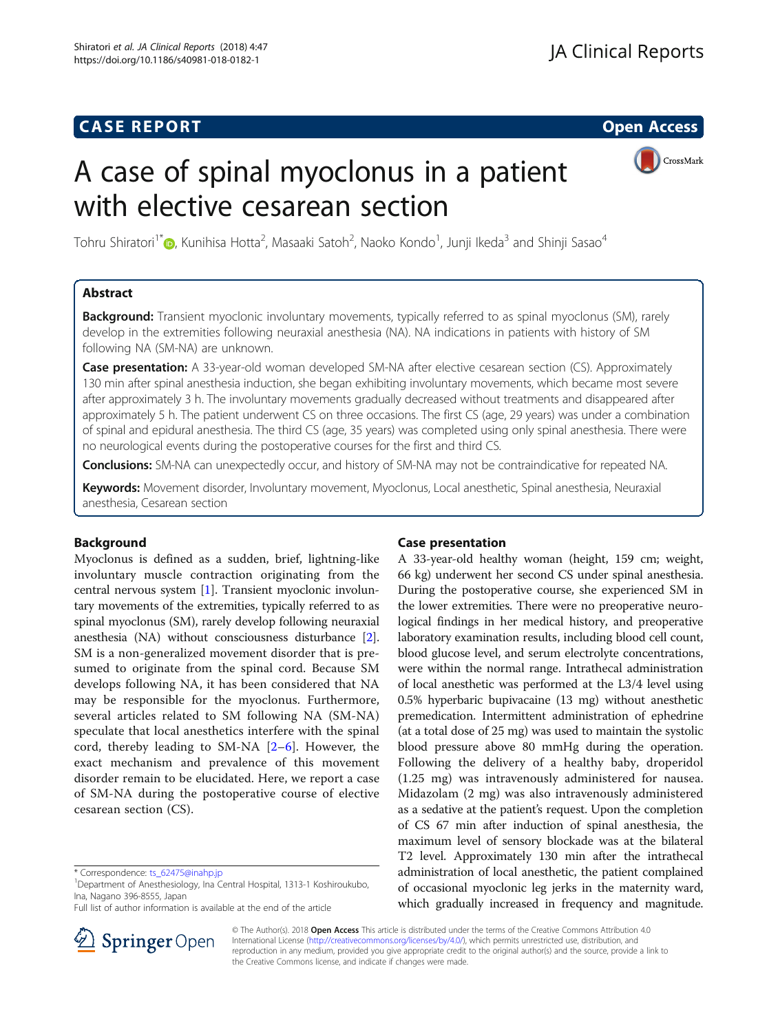## **CASE REPORT CASE REPORT CASE REPORT**

# A case of spinal myoclonus in a patient with elective cesarean section



Tohru Shiratori $^1$ [\\*](http://orcid.org/0000-0001-8218-5739)@, Kunihisa Hotta<sup>2</sup>, Masaaki Satoh<sup>2</sup>, Naoko Kondo<sup>1</sup>, Junji Ikeda<sup>3</sup> and Shinji Sasao<sup>4</sup>

## Abstract

Background: Transient myoclonic involuntary movements, typically referred to as spinal myoclonus (SM), rarely develop in the extremities following neuraxial anesthesia (NA). NA indications in patients with history of SM following NA (SM-NA) are unknown.

**Case presentation:** A 33-year-old woman developed SM-NA after elective cesarean section (CS). Approximately 130 min after spinal anesthesia induction, she began exhibiting involuntary movements, which became most severe after approximately 3 h. The involuntary movements gradually decreased without treatments and disappeared after approximately 5 h. The patient underwent CS on three occasions. The first CS (age, 29 years) was under a combination of spinal and epidural anesthesia. The third CS (age, 35 years) was completed using only spinal anesthesia. There were no neurological events during the postoperative courses for the first and third CS.

Conclusions: SM-NA can unexpectedly occur, and history of SM-NA may not be contraindicative for repeated NA.

Keywords: Movement disorder, Involuntary movement, Myoclonus, Local anesthetic, Spinal anesthesia, Neuraxial anesthesia, Cesarean section

## Background

Myoclonus is defined as a sudden, brief, lightning-like involuntary muscle contraction originating from the central nervous system [[1](#page-2-0)]. Transient myoclonic involuntary movements of the extremities, typically referred to as spinal myoclonus (SM), rarely develop following neuraxial anesthesia (NA) without consciousness disturbance [[2](#page-2-0)]. SM is a non-generalized movement disorder that is presumed to originate from the spinal cord. Because SM develops following NA, it has been considered that NA may be responsible for the myoclonus. Furthermore, several articles related to SM following NA (SM-NA) speculate that local anesthetics interfere with the spinal cord, thereby leading to SM-NA [\[2](#page-2-0)–[6](#page-2-0)]. However, the exact mechanism and prevalence of this movement disorder remain to be elucidated. Here, we report a case of SM-NA during the postoperative course of elective cesarean section (CS).

Full list of author information is available at the end of the article



### Case presentation

A 33-year-old healthy woman (height, 159 cm; weight, 66 kg) underwent her second CS under spinal anesthesia. During the postoperative course, she experienced SM in the lower extremities. There were no preoperative neurological findings in her medical history, and preoperative laboratory examination results, including blood cell count, blood glucose level, and serum electrolyte concentrations, were within the normal range. Intrathecal administration of local anesthetic was performed at the L3/4 level using 0.5% hyperbaric bupivacaine (13 mg) without anesthetic premedication. Intermittent administration of ephedrine (at a total dose of 25 mg) was used to maintain the systolic blood pressure above 80 mmHg during the operation. Following the delivery of a healthy baby, droperidol (1.25 mg) was intravenously administered for nausea. Midazolam (2 mg) was also intravenously administered as a sedative at the patient's request. Upon the completion of CS 67 min after induction of spinal anesthesia, the maximum level of sensory blockade was at the bilateral T2 level. Approximately 130 min after the intrathecal administration of local anesthetic, the patient complained of occasional myoclonic leg jerks in the maternity ward, which gradually increased in frequency and magnitude.

© The Author(s). 2018 Open Access This article is distributed under the terms of the Creative Commons Attribution 4.0 International License ([http://creativecommons.org/licenses/by/4.0/\)](http://creativecommons.org/licenses/by/4.0/), which permits unrestricted use, distribution, and reproduction in any medium, provided you give appropriate credit to the original author(s) and the source, provide a link to the Creative Commons license, and indicate if changes were made.

<sup>\*</sup> Correspondence: [ts\\_62475@inahp.jp](mailto:ts_62475@inahp.jp) <sup>1</sup>

Department of Anesthesiology, Ina Central Hospital, 1313-1 Koshiroukubo, Ina, Nagano 396-8555, Japan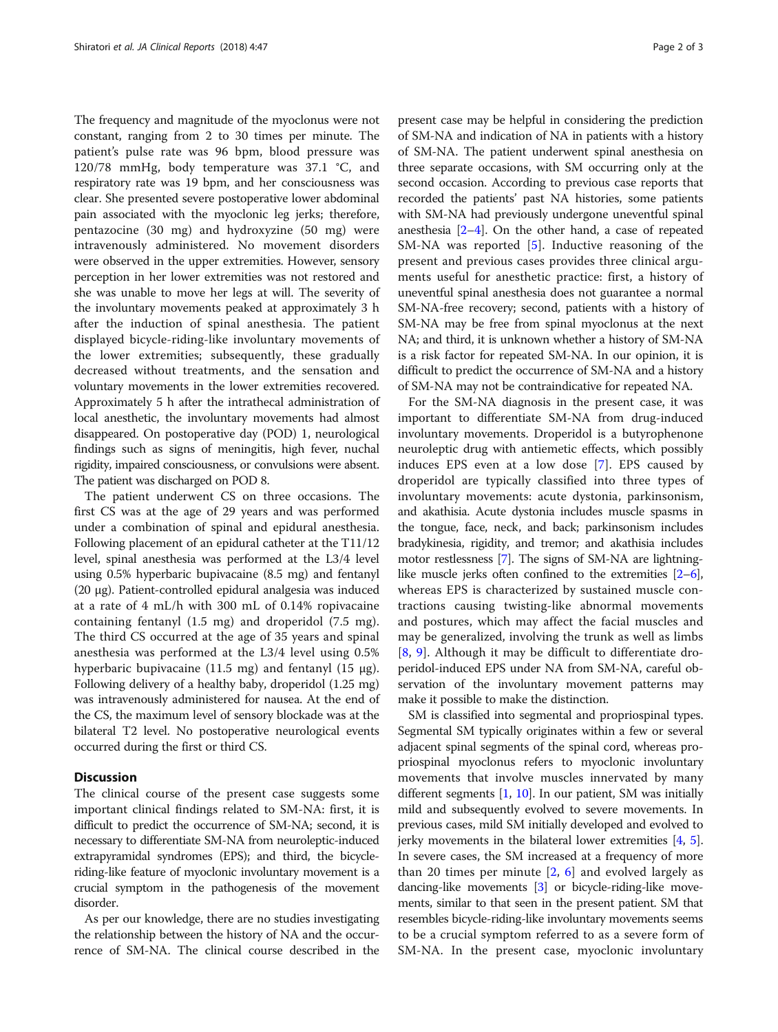The frequency and magnitude of the myoclonus were not constant, ranging from 2 to 30 times per minute. The patient's pulse rate was 96 bpm, blood pressure was 120/78 mmHg, body temperature was 37.1 °C, and respiratory rate was 19 bpm, and her consciousness was clear. She presented severe postoperative lower abdominal pain associated with the myoclonic leg jerks; therefore, pentazocine (30 mg) and hydroxyzine (50 mg) were intravenously administered. No movement disorders were observed in the upper extremities. However, sensory perception in her lower extremities was not restored and she was unable to move her legs at will. The severity of the involuntary movements peaked at approximately 3 h after the induction of spinal anesthesia. The patient displayed bicycle-riding-like involuntary movements of the lower extremities; subsequently, these gradually decreased without treatments, and the sensation and voluntary movements in the lower extremities recovered. Approximately 5 h after the intrathecal administration of local anesthetic, the involuntary movements had almost disappeared. On postoperative day (POD) 1, neurological findings such as signs of meningitis, high fever, nuchal rigidity, impaired consciousness, or convulsions were absent. The patient was discharged on POD 8.

The patient underwent CS on three occasions. The first CS was at the age of 29 years and was performed under a combination of spinal and epidural anesthesia. Following placement of an epidural catheter at the T11/12 level, spinal anesthesia was performed at the L3/4 level using 0.5% hyperbaric bupivacaine (8.5 mg) and fentanyl (20 μg). Patient-controlled epidural analgesia was induced at a rate of 4 mL/h with 300 mL of 0.14% ropivacaine containing fentanyl (1.5 mg) and droperidol (7.5 mg). The third CS occurred at the age of 35 years and spinal anesthesia was performed at the L3/4 level using 0.5% hyperbaric bupivacaine (11.5 mg) and fentanyl (15 μg). Following delivery of a healthy baby, droperidol (1.25 mg) was intravenously administered for nausea. At the end of the CS, the maximum level of sensory blockade was at the bilateral T2 level. No postoperative neurological events occurred during the first or third CS.

## **Discussion**

The clinical course of the present case suggests some important clinical findings related to SM-NA: first, it is difficult to predict the occurrence of SM-NA; second, it is necessary to differentiate SM-NA from neuroleptic-induced extrapyramidal syndromes (EPS); and third, the bicycleriding-like feature of myoclonic involuntary movement is a crucial symptom in the pathogenesis of the movement disorder.

As per our knowledge, there are no studies investigating the relationship between the history of NA and the occurrence of SM-NA. The clinical course described in the present case may be helpful in considering the prediction of SM-NA and indication of NA in patients with a history of SM-NA. The patient underwent spinal anesthesia on three separate occasions, with SM occurring only at the second occasion. According to previous case reports that recorded the patients' past NA histories, some patients with SM-NA had previously undergone uneventful spinal anesthesia  $[2-4]$  $[2-4]$  $[2-4]$  $[2-4]$  $[2-4]$ . On the other hand, a case of repeated SM-NA was reported [[5\]](#page-2-0). Inductive reasoning of the present and previous cases provides three clinical arguments useful for anesthetic practice: first, a history of uneventful spinal anesthesia does not guarantee a normal SM-NA-free recovery; second, patients with a history of SM-NA may be free from spinal myoclonus at the next NA; and third, it is unknown whether a history of SM-NA is a risk factor for repeated SM-NA. In our opinion, it is difficult to predict the occurrence of SM-NA and a history of SM-NA may not be contraindicative for repeated NA.

For the SM-NA diagnosis in the present case, it was important to differentiate SM-NA from drug-induced involuntary movements. Droperidol is a butyrophenone neuroleptic drug with antiemetic effects, which possibly induces EPS even at a low dose [[7](#page-2-0)]. EPS caused by droperidol are typically classified into three types of involuntary movements: acute dystonia, parkinsonism, and akathisia. Acute dystonia includes muscle spasms in the tongue, face, neck, and back; parkinsonism includes bradykinesia, rigidity, and tremor; and akathisia includes motor restlessness [\[7\]](#page-2-0). The signs of SM-NA are lightninglike muscle jerks often confined to the extremities [\[2](#page-2-0)–[6](#page-2-0)], whereas EPS is characterized by sustained muscle contractions causing twisting-like abnormal movements and postures, which may affect the facial muscles and may be generalized, involving the trunk as well as limbs [[8](#page-2-0), [9\]](#page-2-0). Although it may be difficult to differentiate droperidol-induced EPS under NA from SM-NA, careful observation of the involuntary movement patterns may make it possible to make the distinction.

SM is classified into segmental and propriospinal types. Segmental SM typically originates within a few or several adjacent spinal segments of the spinal cord, whereas propriospinal myoclonus refers to myoclonic involuntary movements that involve muscles innervated by many different segments  $[1, 10]$  $[1, 10]$  $[1, 10]$ . In our patient, SM was initially mild and subsequently evolved to severe movements. In previous cases, mild SM initially developed and evolved to jerky movements in the bilateral lower extremities [\[4,](#page-2-0) [5](#page-2-0)]. In severe cases, the SM increased at a frequency of more than 20 times per minute  $[2, 6]$  $[2, 6]$  $[2, 6]$  $[2, 6]$  and evolved largely as dancing-like movements [[3](#page-2-0)] or bicycle-riding-like movements, similar to that seen in the present patient. SM that resembles bicycle-riding-like involuntary movements seems to be a crucial symptom referred to as a severe form of SM-NA. In the present case, myoclonic involuntary